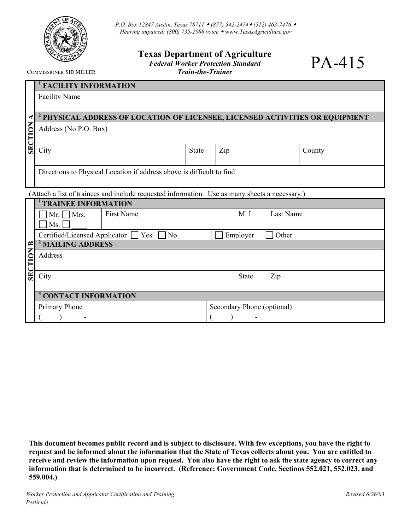

## **Texas Department of Agriculture**  *Federal Worker Protection Standard*

*Train-the-Trainer* 

PA-415

COMMISSIONER SID MILLER

|                | <sup>1</sup> FACILITY INFORMATION                                                              |                   |     |                            |                  |        |  |  |
|----------------|------------------------------------------------------------------------------------------------|-------------------|-----|----------------------------|------------------|--------|--|--|
|                | <b>Facility Name</b>                                                                           |                   |     |                            |                  |        |  |  |
|                |                                                                                                |                   |     |                            |                  |        |  |  |
| ⋖              | <sup>2</sup> PHYSICAL ADDRESS OF LOCATION OF LICENSEE, LICENSED ACTIVITIES OR EQUIPMENT        |                   |     |                            |                  |        |  |  |
| <b>SECTION</b> | Address (No P.O. Box)                                                                          |                   |     |                            |                  |        |  |  |
|                | City                                                                                           | <b>State</b>      | Zip |                            |                  | County |  |  |
|                | Directions to Physical Location if address above is difficult to find                          |                   |     |                            |                  |        |  |  |
|                | (Attach a list of trainees and include requested information. Use as many sheets a necessary.) |                   |     |                            |                  |        |  |  |
|                | <sup>1</sup> TRAINEE INFORMATION                                                               |                   |     |                            |                  |        |  |  |
|                | <b>First Name</b><br>$Mr.$ Mrs.                                                                |                   |     | M. I.                      | <b>Last Name</b> |        |  |  |
|                | Ms.                                                                                            |                   |     |                            |                  |        |  |  |
|                | Certified/Licensed Applicator  <br>Yes<br>N <sub>o</sub>                                       | Employer<br>Other |     |                            |                  |        |  |  |
| $\mathbf{r}$   | <sup>2</sup> MAILING ADDRESS                                                                   |                   |     |                            |                  |        |  |  |
| <b>SECTION</b> | Address                                                                                        |                   |     |                            |                  |        |  |  |
|                | City                                                                                           |                   |     | <b>State</b>               | Zip              |        |  |  |
|                | <sup>3</sup> CONTACT INFORMATION                                                               |                   |     |                            |                  |        |  |  |
|                | Primary Phone                                                                                  |                   |     | Secondary Phone (optional) |                  |        |  |  |
|                |                                                                                                |                   |     |                            |                  |        |  |  |

**This document becomes public record and is subject to disclosure. With few exceptions, you have the right to request and be informed about the information that the State of Texas collects about you. You are entitled to receive and review the information upon request. You also have the right to ask the state agency to correct any information that is determined to be incorrect. (Reference: Government Code, Sections 552.021, 552.023, and 559.004.)**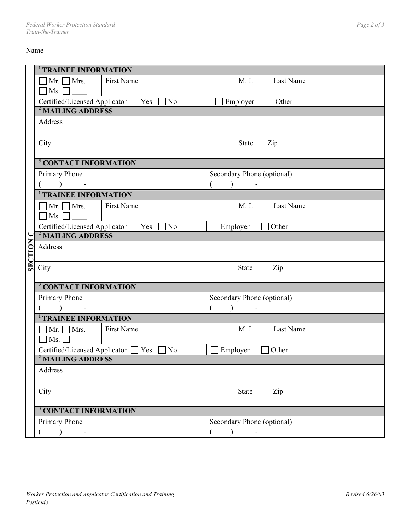Name \_\_\_\_\_\_\_\_\_\_

|                  | <sup>1</sup> TRAINEE INFORMATION                                     |                       |  |                            |           |  |  |  |  |
|------------------|----------------------------------------------------------------------|-----------------------|--|----------------------------|-----------|--|--|--|--|
|                  | $\lceil$ Mr. $\lceil$ Mrs.                                           | First Name            |  | M. I.                      | Last Name |  |  |  |  |
|                  | Ms.                                                                  |                       |  |                            |           |  |  |  |  |
|                  | Certified/Licensed Applicator [<br>Yes<br>N <sub>o</sub><br>Employer |                       |  |                            | Other     |  |  |  |  |
|                  | <sup>2</sup> MAILING ADDRESS                                         |                       |  |                            |           |  |  |  |  |
|                  | Address                                                              |                       |  |                            |           |  |  |  |  |
|                  |                                                                      |                       |  |                            |           |  |  |  |  |
|                  | City                                                                 |                       |  | State                      | Zip       |  |  |  |  |
|                  |                                                                      |                       |  |                            |           |  |  |  |  |
|                  | <sup>3</sup> CONTACT INFORMATION                                     |                       |  |                            |           |  |  |  |  |
|                  | Primary Phone                                                        |                       |  | Secondary Phone (optional) |           |  |  |  |  |
|                  |                                                                      |                       |  |                            |           |  |  |  |  |
|                  | <b>TRAINEE INFORMATION</b>                                           |                       |  |                            |           |  |  |  |  |
|                  | $\vert$ Mr. $\vert$ Mrs.                                             | <b>First Name</b>     |  | M. I.                      | Last Name |  |  |  |  |
|                  | Ms.                                                                  |                       |  |                            |           |  |  |  |  |
|                  | Certified/Licensed Applicator                                        | Yes<br>N <sub>o</sub> |  | Employer                   | Other     |  |  |  |  |
|                  | <sup>2</sup> MAILING ADDRESS                                         |                       |  |                            |           |  |  |  |  |
|                  | Address                                                              |                       |  |                            |           |  |  |  |  |
| <b>SECTION C</b> |                                                                      |                       |  |                            |           |  |  |  |  |
|                  | City                                                                 |                       |  | State                      | Zip       |  |  |  |  |
|                  |                                                                      |                       |  |                            |           |  |  |  |  |
|                  | <sup>3</sup> CONTACT INFORMATION                                     |                       |  |                            |           |  |  |  |  |
|                  | Primary Phone                                                        |                       |  | Secondary Phone (optional) |           |  |  |  |  |
|                  |                                                                      |                       |  |                            |           |  |  |  |  |
|                  | <sup>1</sup> TRAINEE INFORMATION                                     |                       |  |                            |           |  |  |  |  |
|                  | $\lceil$ Mr. $\lceil$ Mrs.                                           | First Name            |  | M. I.                      | Last Name |  |  |  |  |
|                  | $\overline{\phantom{a}}$ Ms.                                         |                       |  |                            |           |  |  |  |  |
|                  | Certified/Licensed Applicator  <br>Yes<br>No<br>Employer<br>Other    |                       |  |                            |           |  |  |  |  |
|                  | <sup>2</sup> MAILING ADDRESS                                         |                       |  |                            |           |  |  |  |  |
|                  | Address                                                              |                       |  |                            |           |  |  |  |  |
|                  |                                                                      |                       |  |                            |           |  |  |  |  |
|                  | City                                                                 |                       |  | <b>State</b>               | Zip       |  |  |  |  |
|                  |                                                                      |                       |  |                            |           |  |  |  |  |
|                  | <sup>3</sup> CONTACT INFORMATION                                     |                       |  |                            |           |  |  |  |  |
|                  | Primary Phone                                                        |                       |  | Secondary Phone (optional) |           |  |  |  |  |
|                  |                                                                      |                       |  |                            |           |  |  |  |  |